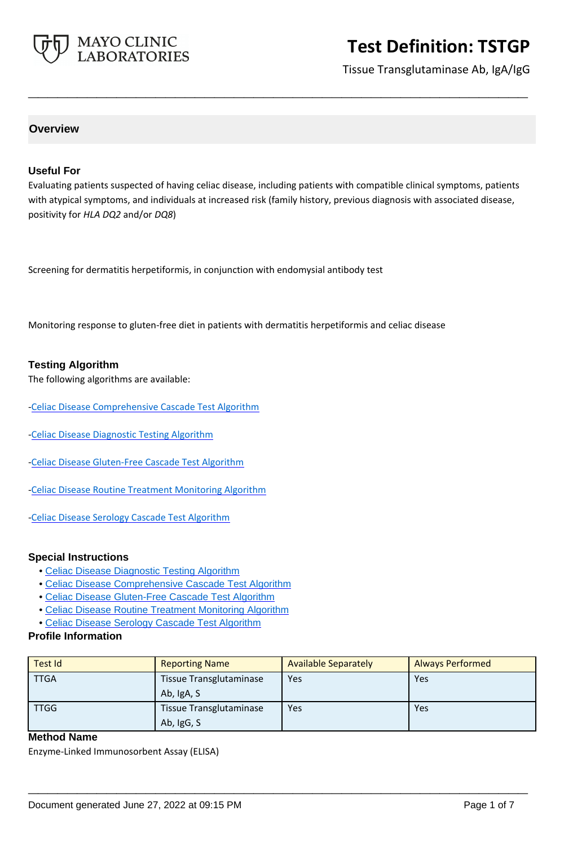

Tissue Transglutaminase Ab, IgA/IgG

# **Overview**

#### **Useful For**

Evaluating patients suspected of having celiac disease, including patients with compatible clinical symptoms, patients with atypical symptoms, and individuals at increased risk (family history, previous diagnosis with associated disease, positivity for *HLA DQ2* and/or *DQ8*)

**\_\_\_\_\_\_\_\_\_\_\_\_\_\_\_\_\_\_\_\_\_\_\_\_\_\_\_\_\_\_\_\_\_\_\_\_\_\_\_\_\_\_\_\_\_\_\_\_\_\_\_**

Screening for dermatitis herpetiformis, in conjunction with endomysial antibody test

Monitoring response to gluten-free diet in patients with dermatitis herpetiformis and celiac disease

#### **Testing Algorithm**

The following algorithms are available:

- [-Celiac Disease Comprehensive Cascade Test Algorithm](https://www.mayocliniclabs.com/articles/resources/-/media/it-mmfiles/special%20instructions/celiac-disease-comprehensive-cascade-test-algorithm.pdf)
- [-Celiac Disease Diagnostic Testing Algorithm](https://www.mayocliniclabs.com/it-mmfiles/Celiac_Disease_Diagnostic_Testing_Algorithm.pdf)
- [-Celiac Disease Gluten-Free Cascade Test Algorithm](https://www.mayocliniclabs.com/articles/resources/-/media/it-mmfiles/special%20instructions/celiac_disease_gluten-free_cascade_test_algorithm.pdf)
- [-Celiac Disease Routine Treatment Monitoring Algorithm](https://www.mayocliniclabs.com/it-mmfiles/Celiac_Disease_Routine_Treatment_Monitoring_Algorithm.pdf)
- [-Celiac Disease Serology Cascade Test Algorithm](https://www.mayocliniclabs.com/articles/resources/-/media/it-mmfiles/special%20instructions/Celiac_Disease_Serology_Cascade_Test_Algorithm.pdf)

#### **Special Instructions**

- • [Celiac Disease Diagnostic Testing Algorithm](http://www.mayocliniclabs.com/it-mmfiles/Celiac_Disease_Diagnostic_Testing_Algorithm.pdf)
- • [Celiac Disease Comprehensive Cascade Test Algorithm](https://www.mayocliniclabs.com/articles/resources/-/media/it-mmfiles/special%20instructions/celiac-disease-comprehensive-cascade-test-algorithm.pdf)
- • [Celiac Disease Gluten-Free Cascade Test Algorithm](https://www.mayocliniclabs.com/articles/resources/-/media/it-mmfiles/special%20instructions/celiac_disease_gluten-free_cascade_test_algorithm.pdf)
- • [Celiac Disease Routine Treatment Monitoring Algorithm](http://www.mayocliniclabs.com/it-mmfiles/Celiac_Disease_Routine_Treatment_Monitoring_Algorithm.pdf)
- • [Celiac Disease Serology Cascade Test Algorithm](https://www.mayocliniclabs.com/articles/resources/-/media/it-mmfiles/special%20instructions/Celiac_Disease_Serology_Cascade_Test_Algorithm.pdf)

### **Profile Information**

| Test Id     | <b>Reporting Name</b>                        | <b>Available Separately</b> | <b>Always Performed</b> |
|-------------|----------------------------------------------|-----------------------------|-------------------------|
| <b>TTGA</b> | <b>Tissue Transglutaminase</b><br>Ab, IgA, S | Yes                         | Yes                     |
| <b>TTGG</b> | <b>Tissue Transglutaminase</b><br>Ab, IgG, S | Yes                         | Yes                     |

**\_\_\_\_\_\_\_\_\_\_\_\_\_\_\_\_\_\_\_\_\_\_\_\_\_\_\_\_\_\_\_\_\_\_\_\_\_\_\_\_\_\_\_\_\_\_\_\_\_\_\_**

# **Method Name**

Enzyme-Linked Immunosorbent Assay (ELISA)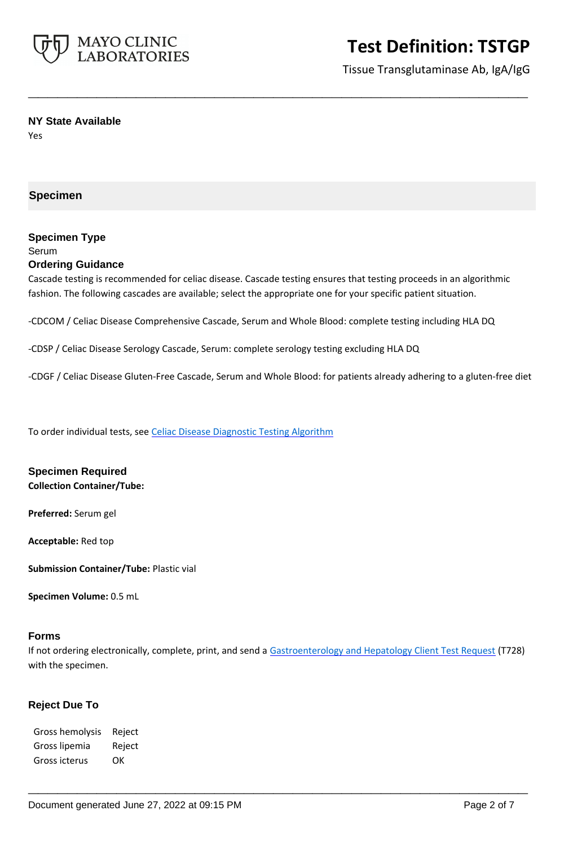

Tissue Transglutaminase Ab, IgA/IgG

#### **NY State Available**

Yes

### **Specimen**

#### **Specimen Type** Serum

# **Ordering Guidance**

Cascade testing is recommended for celiac disease. Cascade testing ensures that testing proceeds in an algorithmic fashion. The following cascades are available; select the appropriate one for your specific patient situation.

**\_\_\_\_\_\_\_\_\_\_\_\_\_\_\_\_\_\_\_\_\_\_\_\_\_\_\_\_\_\_\_\_\_\_\_\_\_\_\_\_\_\_\_\_\_\_\_\_\_\_\_**

-CDCOM / Celiac Disease Comprehensive Cascade, Serum and Whole Blood: complete testing including HLA DQ

-CDSP / Celiac Disease Serology Cascade, Serum: complete serology testing excluding HLA DQ

-CDGF / Celiac Disease Gluten-Free Cascade, Serum and Whole Blood: for patients already adhering to a gluten-free diet

To order individual tests, see [Celiac Disease Diagnostic Testing Algorithm](https://www.mayocliniclabs.com/it-mmfiles/Celiac_Disease_Diagnostic_Testing_Algorithm.pdf)

# **Specimen Required**

**Collection Container/Tube:** 

**Preferred:** Serum gel

**Acceptable:** Red top

**Submission Container/Tube:** Plastic vial

**Specimen Volume:** 0.5 mL

#### **Forms**

If not ordering electronically, complete, print, and send a [Gastroenterology and Hepatology Client Test Request](https://www.mayocliniclabs.com/it-mmfiles/gastroenterology-and-hepatology-test-request.pdf) (T728) with the specimen.

**\_\_\_\_\_\_\_\_\_\_\_\_\_\_\_\_\_\_\_\_\_\_\_\_\_\_\_\_\_\_\_\_\_\_\_\_\_\_\_\_\_\_\_\_\_\_\_\_\_\_\_**

# **Reject Due To**

Gross hemolysis Reject Gross lipemia Reject Gross icterus OK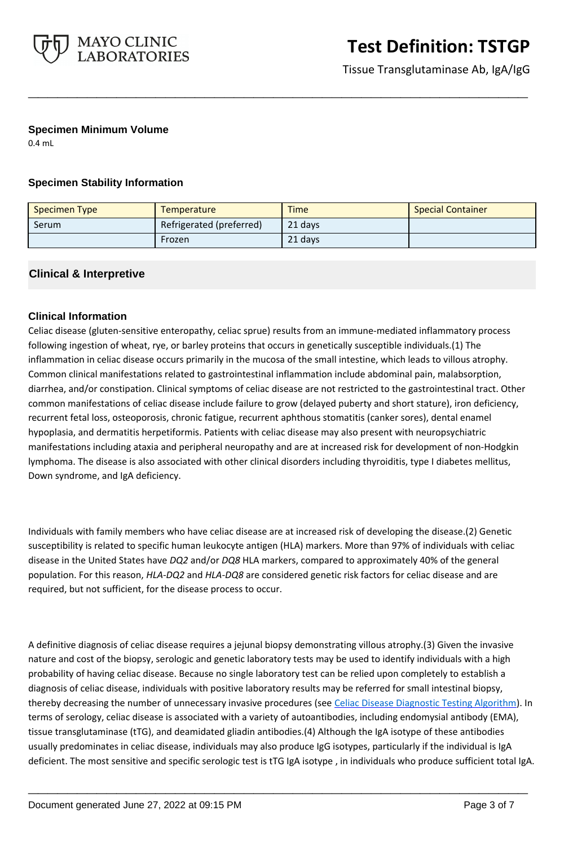

Tissue Transglutaminase Ab, IgA/IgG

### **Specimen Minimum Volume**

0.4 mL

# **Specimen Stability Information**

| <b>Specimen Type</b> | <b>Temperature</b>       | <b>Time</b> | <b>Special Container</b> |
|----------------------|--------------------------|-------------|--------------------------|
| Serum                | Refrigerated (preferred) | 21 days     |                          |
|                      | Frozen                   | 21 days     |                          |

**\_\_\_\_\_\_\_\_\_\_\_\_\_\_\_\_\_\_\_\_\_\_\_\_\_\_\_\_\_\_\_\_\_\_\_\_\_\_\_\_\_\_\_\_\_\_\_\_\_\_\_**

# **Clinical & Interpretive**

# **Clinical Information**

Celiac disease (gluten-sensitive enteropathy, celiac sprue) results from an immune-mediated inflammatory process following ingestion of wheat, rye, or barley proteins that occurs in genetically susceptible individuals.(1) The inflammation in celiac disease occurs primarily in the mucosa of the small intestine, which leads to villous atrophy. Common clinical manifestations related to gastrointestinal inflammation include abdominal pain, malabsorption, diarrhea, and/or constipation. Clinical symptoms of celiac disease are not restricted to the gastrointestinal tract. Other common manifestations of celiac disease include failure to grow (delayed puberty and short stature), iron deficiency, recurrent fetal loss, osteoporosis, chronic fatigue, recurrent aphthous stomatitis (canker sores), dental enamel hypoplasia, and dermatitis herpetiformis. Patients with celiac disease may also present with neuropsychiatric manifestations including ataxia and peripheral neuropathy and are at increased risk for development of non-Hodgkin lymphoma. The disease is also associated with other clinical disorders including thyroiditis, type I diabetes mellitus, Down syndrome, and IgA deficiency.

Individuals with family members who have celiac disease are at increased risk of developing the disease.(2) Genetic susceptibility is related to specific human leukocyte antigen (HLA) markers. More than 97% of individuals with celiac disease in the United States have *DQ2* and/or *DQ8* HLA markers, compared to approximately 40% of the general population. For this reason, *HLA-DQ2* and *HLA-DQ8* are considered genetic risk factors for celiac disease and are required, but not sufficient, for the disease process to occur.

A definitive diagnosis of celiac disease requires a jejunal biopsy demonstrating villous atrophy.(3) Given the invasive nature and cost of the biopsy, serologic and genetic laboratory tests may be used to identify individuals with a high probability of having celiac disease. Because no single laboratory test can be relied upon completely to establish a diagnosis of celiac disease, individuals with positive laboratory results may be referred for small intestinal biopsy, thereby decreasing the number of unnecessary invasive procedures (see [Celiac Disease Diagnostic Testing Algorithm\)](https://www.mayocliniclabs.com/it-mmfiles/Celiac_Disease_Diagnostic_Testing_Algorithm.pdf). In terms of serology, celiac disease is associated with a variety of autoantibodies, including endomysial antibody (EMA), tissue transglutaminase (tTG), and deamidated gliadin antibodies.(4) Although the IgA isotype of these antibodies usually predominates in celiac disease, individuals may also produce IgG isotypes, particularly if the individual is IgA deficient. The most sensitive and specific serologic test is tTG IgA isotype , in individuals who produce sufficient total IgA.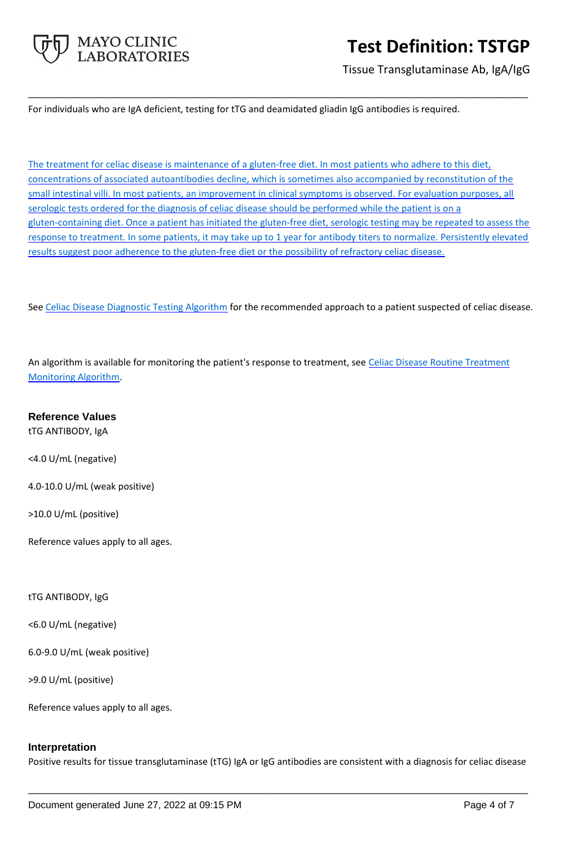

Tissue Transglutaminase Ab, IgA/IgG

For individuals who are IgA deficient, testing for tTG and deamidated gliadin IgG antibodies is required.

The treatment for celiac disease is maintenance of a gluten-free diet. In most patients who adhere to this diet, concentrations of associated autoantibodies decline, which is sometimes also accompanied by reconstitution of the small intestinal villi. In most patients, an improvement in clinical symptoms is observed. For evaluation purposes, all serologic tests ordered for the diagnosis of celiac disease should be performed while the patient is on a gluten-containing diet. Once a patient has initiated the gluten-free diet, serologic testing may be repeated to assess the response to treatment. In some patients, it may take up to 1 year for antibody titers to normalize. Persistently elevated results suggest poor adherence to the gluten-free diet or the possibility of refractory celiac disease.

**\_\_\_\_\_\_\_\_\_\_\_\_\_\_\_\_\_\_\_\_\_\_\_\_\_\_\_\_\_\_\_\_\_\_\_\_\_\_\_\_\_\_\_\_\_\_\_\_\_\_\_**

See [Celiac Disease Diagnostic Testing Algorithm](https://www.mayocliniclabs.com/it-mmfiles/Celiac_Disease_Diagnostic_Testing_Algorithm.pdf) for the recommended approach to a patient suspected of celiac disease.

An algorithm is available for monitoring the patient's response to treatment, see Celiac Disease Routine Treatment [Monitoring Algorithm](https://www.mayocliniclabs.com/it-mmfiles/Celiac_Disease_Routine_Treatment_Monitoring_Algorithm.pdf).

**Reference Values**

tTG ANTIBODY, IgA

<4.0 U/mL (negative)

4.0-10.0 U/mL (weak positive)

>10.0 U/mL (positive)

Reference values apply to all ages.

tTG ANTIBODY, IgG

<6.0 U/mL (negative)

6.0-9.0 U/mL (weak positive)

>9.0 U/mL (positive)

Reference values apply to all ages.

#### **Interpretation**

Positive results for tissue transglutaminase (tTG) IgA or IgG antibodies are consistent with a diagnosis for celiac disease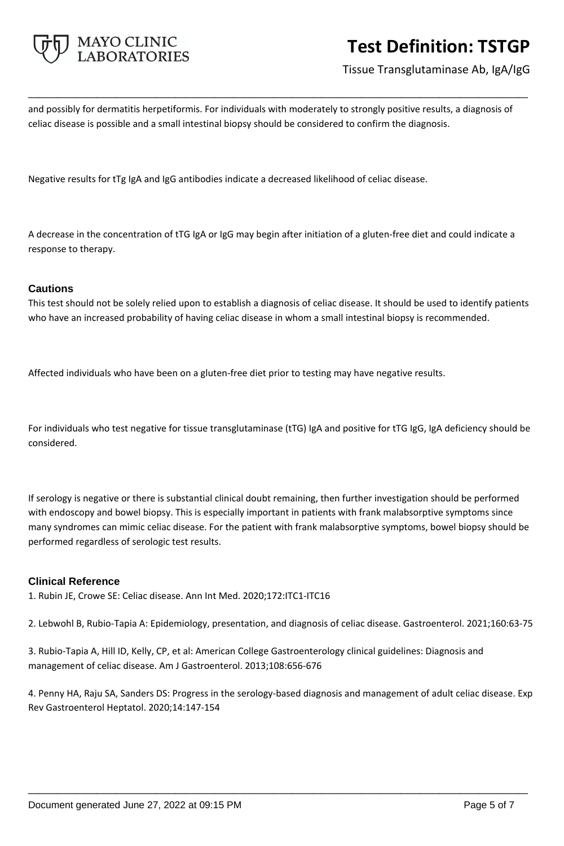

Tissue Transglutaminase Ab, IgA/IgG

and possibly for dermatitis herpetiformis. For individuals with moderately to strongly positive results, a diagnosis of celiac disease is possible and a small intestinal biopsy should be considered to confirm the diagnosis.

**\_\_\_\_\_\_\_\_\_\_\_\_\_\_\_\_\_\_\_\_\_\_\_\_\_\_\_\_\_\_\_\_\_\_\_\_\_\_\_\_\_\_\_\_\_\_\_\_\_\_\_**

Negative results for tTg IgA and IgG antibodies indicate a decreased likelihood of celiac disease.

A decrease in the concentration of tTG IgA or IgG may begin after initiation of a gluten-free diet and could indicate a response to therapy.

# **Cautions**

This test should not be solely relied upon to establish a diagnosis of celiac disease. It should be used to identify patients who have an increased probability of having celiac disease in whom a small intestinal biopsy is recommended.

Affected individuals who have been on a gluten-free diet prior to testing may have negative results.

For individuals who test negative for tissue transglutaminase (tTG) IgA and positive for tTG IgG, IgA deficiency should be considered.

If serology is negative or there is substantial clinical doubt remaining, then further investigation should be performed with endoscopy and bowel biopsy. This is especially important in patients with frank malabsorptive symptoms since many syndromes can mimic celiac disease. For the patient with frank malabsorptive symptoms, bowel biopsy should be performed regardless of serologic test results.

# **Clinical Reference**

1. Rubin JE, Crowe SE: Celiac disease. Ann Int Med. 2020;172:ITC1-ITC16

2. Lebwohl B, Rubio-Tapia A: Epidemiology, presentation, and diagnosis of celiac disease. Gastroenterol. 2021;160:63-75

3. Rubio-Tapia A, Hill ID, Kelly, CP, et al: American College Gastroenterology clinical guidelines: Diagnosis and management of celiac disease. Am J Gastroenterol. 2013;108:656-676

4. Penny HA, Raju SA, Sanders DS: Progress in the serology-based diagnosis and management of adult celiac disease. Exp Rev Gastroenterol Heptatol. 2020;14:147-154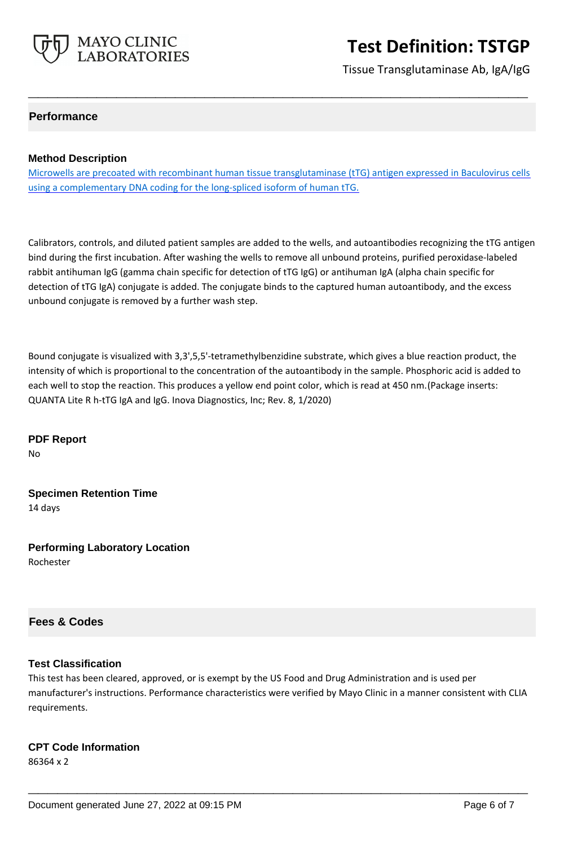

Tissue Transglutaminase Ab, IgA/IgG

# **Performance**

#### **Method Description**

Microwells are precoated with recombinant human tissue transglutaminase (tTG) antigen expressed in Baculovirus cells using a complementary DNA coding for the long-spliced isoform of human tTG.

**\_\_\_\_\_\_\_\_\_\_\_\_\_\_\_\_\_\_\_\_\_\_\_\_\_\_\_\_\_\_\_\_\_\_\_\_\_\_\_\_\_\_\_\_\_\_\_\_\_\_\_**

Calibrators, controls, and diluted patient samples are added to the wells, and autoantibodies recognizing the tTG antigen bind during the first incubation. After washing the wells to remove all unbound proteins, purified peroxidase-labeled rabbit antihuman IgG (gamma chain specific for detection of tTG IgG) or antihuman IgA (alpha chain specific for detection of tTG IgA) conjugate is added. The conjugate binds to the captured human autoantibody, and the excess unbound conjugate is removed by a further wash step.

Bound conjugate is visualized with 3,3',5,5'-tetramethylbenzidine substrate, which gives a blue reaction product, the intensity of which is proportional to the concentration of the autoantibody in the sample. Phosphoric acid is added to each well to stop the reaction. This produces a yellow end point color, which is read at 450 nm.(Package inserts: QUANTA Lite R h-tTG IgA and IgG. Inova Diagnostics, Inc; Rev. 8, 1/2020)

**PDF Report** No

**Specimen Retention Time** 14 days

**Performing Laboratory Location** Rochester

# **Fees & Codes**

#### **Test Classification**

This test has been cleared, approved, or is exempt by the US Food and Drug Administration and is used per manufacturer's instructions. Performance characteristics were verified by Mayo Clinic in a manner consistent with CLIA requirements.

**\_\_\_\_\_\_\_\_\_\_\_\_\_\_\_\_\_\_\_\_\_\_\_\_\_\_\_\_\_\_\_\_\_\_\_\_\_\_\_\_\_\_\_\_\_\_\_\_\_\_\_**

#### **CPT Code Information**

86364 x 2